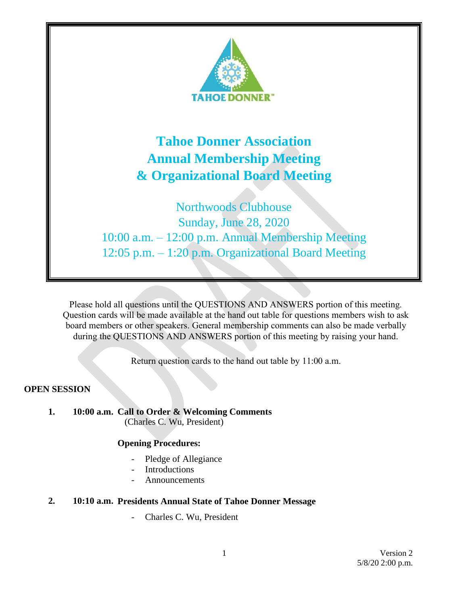

Please hold all questions until the QUESTIONS AND ANSWERS portion of this meeting. Question cards will be made available at the hand out table for questions members wish to ask board members or other speakers. General membership comments can also be made verbally during the QUESTIONS AND ANSWERS portion of this meeting by raising your hand.

Return question cards to the hand out table by 11:00 a.m.

### **OPEN SESSION**

**1. 10:00 a.m. Call to Order & Welcoming Comments** (Charles C. Wu, President)

#### **Opening Procedures:**

- Pledge of Allegiance
- **Introductions**
- **Announcements**

## **2. 10:10 a.m. Presidents Annual State of Tahoe Donner Message**

- Charles C. Wu, President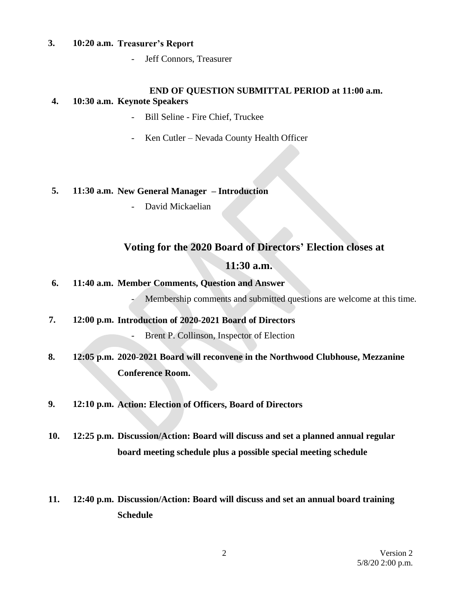#### **3. 10:20 a.m. Treasurer's Report**

Jeff Connors, Treasurer

#### **END OF QUESTION SUBMITTAL PERIOD at 11:00 a.m.**

### **4. 10:30 a.m. Keynote Speakers**

- Bill Seline Fire Chief, Truckee
- Ken Cutler Nevada County Health Officer

### **5. 11:30 a.m. New General Manager – Introduction**

- David Mickaelian

# **Voting for the 2020 Board of Directors' Election closes at**

## **11:30 a.m.**

## **6. 11:40 a.m. Member Comments, Question and Answer**

Membership comments and submitted questions are welcome at this time.

**7. 12:00 p.m. Introduction of 2020-2021 Board of Directors** Brent P. Collinson, Inspector of Election

# **8. 12:05 p.m. 2020-2021 Board will reconvene in the Northwood Clubhouse, Mezzanine Conference Room.**

**9. 12:10 p.m. Action: Election of Officers, Board of Directors**

**10. 12:25 p.m. Discussion/Action: Board will discuss and set a planned annual regular board meeting schedule plus a possible special meeting schedule**

# **11. 12:40 p.m. Discussion/Action: Board will discuss and set an annual board training Schedule**